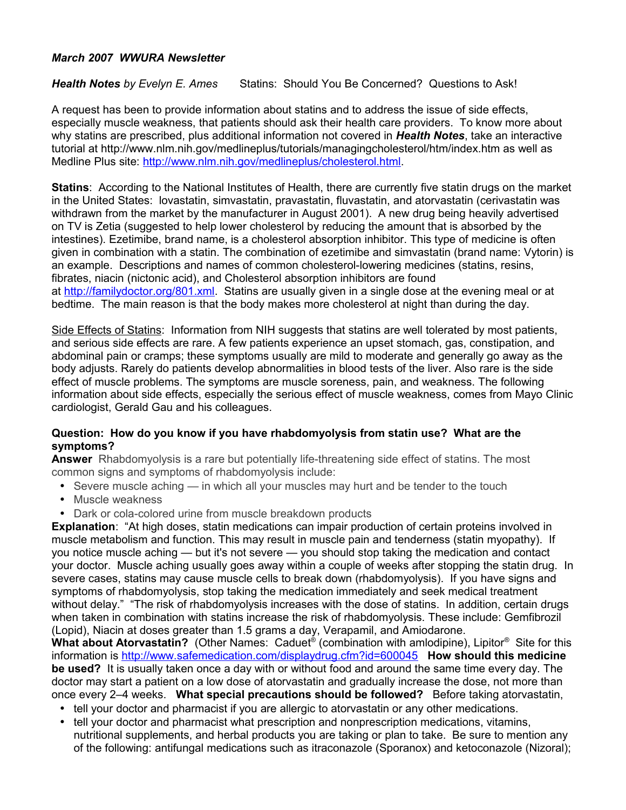## *March 2007 WWURA Newsletter*

*Health Notes by Evelyn E. Ames* Statins: Should You Be Concerned? Questions to Ask!

A request has been to provide information about statins and to address the issue of side effects, especially muscle weakness, that patients should ask their health care providers. To know more about why statins are prescribed, plus additional information not covered in *Health Notes*, take an interactive tutorial at http://www.nlm.nih.gov/medlineplus/tutorials/managingcholesterol/htm/index.htm as well as Medline Plus site: [http://www.nlm.nih.gov/medlineplus/cholesterol.html.](http://www.nlm.nih.gov/medlineplus/cholesterol.html)

**Statins**: According to the National Institutes of Health, there are currently five statin drugs on the market in the United States: lovastatin, simvastatin, pravastatin, fluvastatin, and atorvastatin (cerivastatin was withdrawn from the market by the manufacturer in August 2001). A new drug being heavily advertised on TV is Zetia (suggested to help lower cholesterol by reducing the amount that is absorbed by the intestines). Ezetimibe, brand name, is a cholesterol absorption inhibitor. This type of medicine is often given in combination with a statin. The combination of ezetimibe and simvastatin (brand name: Vytorin) is an example. Descriptions and names of common cholesterol-lowering medicines (statins, resins, fibrates, niacin (nictonic acid), and Cholesterol absorption inhibitors are found at [http://familydoctor.org/801.xml.](http://familydoctor.org/801.xml) Statins are usually given in a single dose at the evening meal or at bedtime. The main reason is that the body makes more cholesterol at night than during the day.

Side Effects of Statins: Information from NIH suggests that statins are well tolerated by most patients, and serious side effects are rare. A few patients experience an upset stomach, gas, constipation, and abdominal pain or cramps; these symptoms usually are mild to moderate and generally go away as the body adjusts. Rarely do patients develop abnormalities in blood tests of the liver. Also rare is the side effect of muscle problems. The symptoms are muscle soreness, pain, and weakness. The following information about side effects, especially the serious effect of muscle weakness, comes from Mayo Clinic cardiologist, Gerald Gau and his colleagues.

## **Question: How do you know if you have rhabdomyolysis from statin use? What are the symptoms?**

**Answer** Rhabdomyolysis is a rare but potentially life-threatening side effect of statins. The most common signs and symptoms of rhabdomyolysis include:

- Severe muscle aching in which all your muscles may hurt and be tender to the touch
- Muscle weakness
- Dark or cola-colored urine from muscle breakdown products

**Explanation**: "At high doses, statin medications can impair production of certain proteins involved in muscle metabolism and function. This may result in muscle pain and tenderness (statin myopathy). If you notice muscle aching — but it's not severe — you should stop taking the medication and contact your doctor. Muscle aching usually goes away within a couple of weeks after stopping the statin drug.In severe cases, statins may cause muscle cells to break down (rhabdomyolysis). If you have signs and symptoms of rhabdomyolysis, stop taking the medication immediately and seek medical treatment without delay." "The risk of rhabdomyolysis increases with the dose of statins. In addition, certain drugs when taken in combination with statins increase the risk of rhabdomyolysis. These include: Gemfibrozil (Lopid), Niacin at doses greater than 1.5 grams a day, Verapamil, and Amiodarone.

**What about Atorvastatin?** (Other Names:Caduet® (combination with amlodipine), Lipitor® Site for this information is<http://www.safemedication.com/displaydrug.cfm?id=600045>**How should this medicine be used?** It is usually taken once a day with or without food and around the same time every day. The doctor may start a patient on a low dose of atorvastatin and gradually increase the dose, not more than once every 2–4 weeks. **What special precautions should be followed?** Before taking atorvastatin,

- tell your doctor and pharmacist if you are allergic to atorvastatin or any other medications.
- tell your doctor and pharmacist what prescription and nonprescription medications, vitamins, nutritional supplements, and herbal products you are taking or plan to take. Be sure to mention any of the following: antifungal medications such as itraconazole (Sporanox) and ketoconazole (Nizoral);